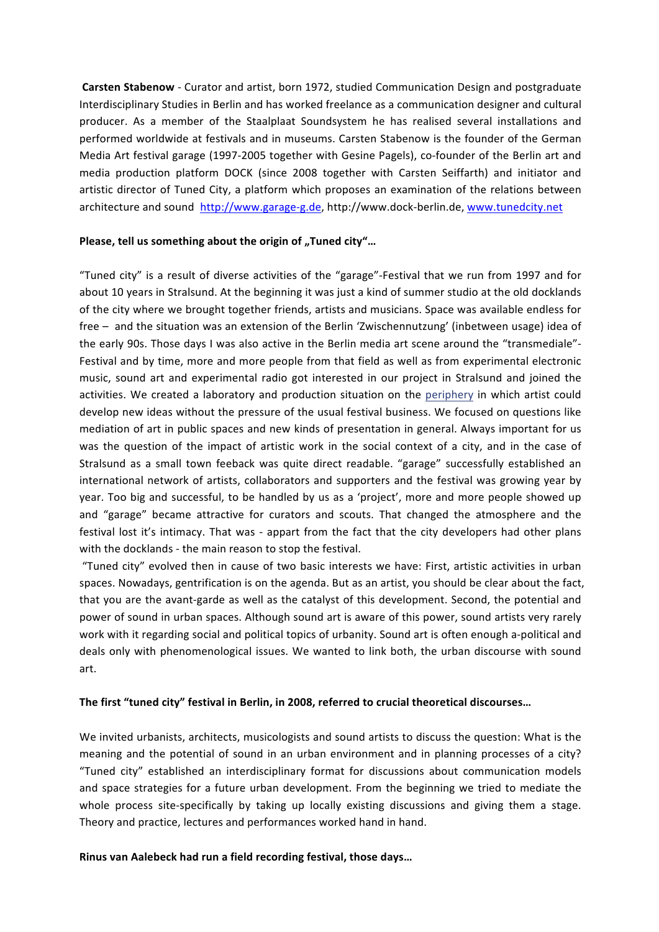**Carsten Stabenow** - Curator and artist, born 1972, studied Communication Design and postgraduate Interdisciplinary Studies in Berlin and has worked freelance as a communication designer and cultural producer. As a member of the Staalplaat Soundsystem he has realised several installations and performed worldwide at festivals and in museums. Carsten Stabenow is the founder of the German Media Art festival garage (1997-2005 together with Gesine Pagels), co-founder of the Berlin art and media production platform DOCK (since 2008 together with Carsten Seiffarth) and initiator and artistic director of Tuned City, a platform which proposes an examination of the relations between architecture and sound http://www.garage-g.de, http://www.dock-berlin.de, www.tunedcity.net

### **Please, tell us something about the origin of "Tuned city"...**

"Tuned city" is a result of diverse activities of the "garage"-Festival that we run from 1997 and for about 10 years in Stralsund. At the beginning it was just a kind of summer studio at the old docklands of the city where we brought together friends, artists and musicians. Space was available endless for free  $-$  and the situation was an extension of the Berlin 'Zwischennutzung' (inbetween usage) idea of the early 90s. Those days I was also active in the Berlin media art scene around the "transmediale"-Festival and by time, more and more people from that field as well as from experimental electronic music, sound art and experimental radio got interested in our project in Stralsund and joined the activities. We created a laboratory and production situation on the periphery in which artist could develop new ideas without the pressure of the usual festival business. We focused on questions like mediation of art in public spaces and new kinds of presentation in general. Always important for us was the question of the impact of artistic work in the social context of a city, and in the case of Stralsund as a small town feeback was quite direct readable. "garage" successfully established an international network of artists, collaborators and supporters and the festival was growing year by year. Too big and successful, to be handled by us as a 'project', more and more people showed up and "garage" became attractive for curators and scouts. That changed the atmosphere and the festival lost it's intimacy. That was - appart from the fact that the city developers had other plans with the docklands - the main reason to stop the festival.

"Tuned city" evolved then in cause of two basic interests we have: First, artistic activities in urban spaces. Nowadays, gentrification is on the agenda. But as an artist, you should be clear about the fact, that you are the avant-garde as well as the catalyst of this development. Second, the potential and power of sound in urban spaces. Although sound art is aware of this power, sound artists very rarely work with it regarding social and political topics of urbanity. Sound art is often enough a-political and deals only with phenomenological issues. We wanted to link both, the urban discourse with sound art.

#### The first "tuned city" festival in Berlin, in 2008, referred to crucial theoretical discourses...

We invited urbanists, architects, musicologists and sound artists to discuss the question: What is the meaning and the potential of sound in an urban environment and in planning processes of a city? "Tuned city" established an interdisciplinary format for discussions about communication models and space strategies for a future urban development. From the beginning we tried to mediate the whole process site-specifically by taking up locally existing discussions and giving them a stage. Theory and practice, lectures and performances worked hand in hand.

#### **Rinus van Aalebeck had run a field recording festival, those days...**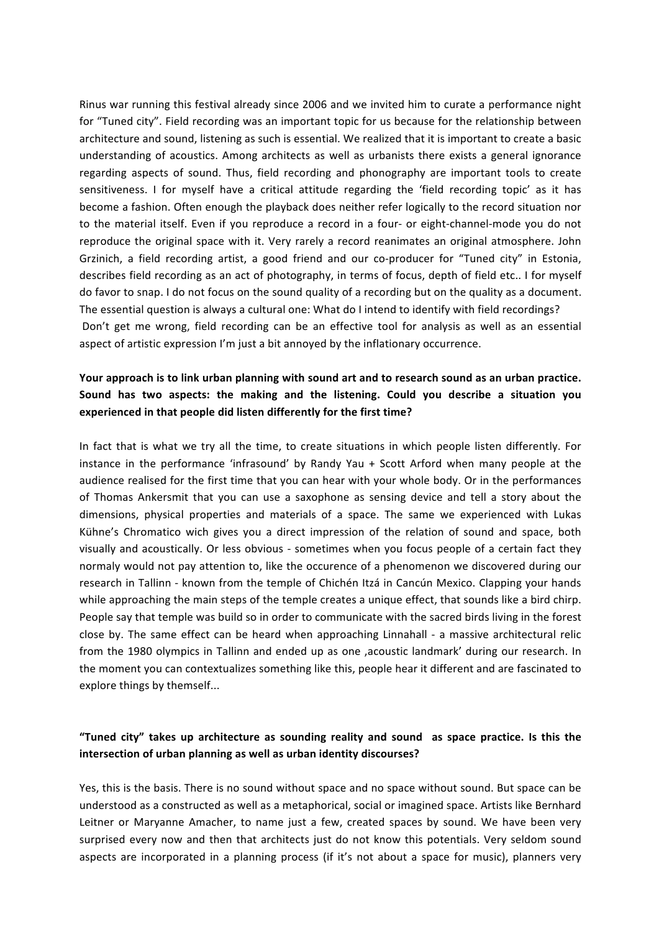Rinus war running this festival already since 2006 and we invited him to curate a performance night for "Tuned city". Field recording was an important topic for us because for the relationship between architecture and sound, listening as such is essential. We realized that it is important to create a basic understanding of acoustics. Among architects as well as urbanists there exists a general ignorance regarding aspects of sound. Thus, field recording and phonography are important tools to create sensitiveness. I for myself have a critical attitude regarding the 'field recording topic' as it has become a fashion. Often enough the playback does neither refer logically to the record situation nor to the material itself. Even if you reproduce a record in a four- or eight-channel-mode you do not reproduce the original space with it. Very rarely a record reanimates an original atmosphere. John Grzinich, a field recording artist, a good friend and our co-producer for "Tuned city" in Estonia, describes field recording as an act of photography, in terms of focus, depth of field etc.. I for myself do favor to snap. I do not focus on the sound quality of a recording but on the quality as a document. The essential question is always a cultural one: What do I intend to identify with field recordings? Don't get me wrong, field recording can be an effective tool for analysis as well as an essential aspect of artistic expression I'm just a bit annoyed by the inflationary occurrence.

# Your approach is to link urban planning with sound art and to research sound as an urban practice. Sound has two aspects: the making and the listening. Could you describe a situation you experienced in that people did listen differently for the first time?

In fact that is what we try all the time, to create situations in which people listen differently. For instance in the performance 'infrasound' by Randy Yau + Scott Arford when many people at the audience realised for the first time that you can hear with your whole body. Or in the performances of Thomas Ankersmit that you can use a saxophone as sensing device and tell a story about the dimensions, physical properties and materials of a space. The same we experienced with Lukas Kühne's Chromatico wich gives you a direct impression of the relation of sound and space, both visually and acoustically. Or less obvious - sometimes when you focus people of a certain fact they normaly would not pay attention to, like the occurence of a phenomenon we discovered during our research in Tallinn - known from the temple of Chichén Itzá in Cancún Mexico. Clapping your hands while approaching the main steps of the temple creates a unique effect, that sounds like a bird chirp. People say that temple was build so in order to communicate with the sacred birds living in the forest close by. The same effect can be heard when approaching Linnahall - a massive architectural relic from the 1980 olympics in Tallinn and ended up as one , acoustic landmark' during our research. In the moment you can contextualizes something like this, people hear it different and are fascinated to explore things by themself...

## "Tuned city" takes up architecture as sounding reality and sound as space practice. Is this the **intersection of urban planning as well as urban identity discourses?**

Yes, this is the basis. There is no sound without space and no space without sound. But space can be understood as a constructed as well as a metaphorical, social or imagined space. Artists like Bernhard Leitner or Maryanne Amacher, to name just a few, created spaces by sound. We have been very surprised every now and then that architects just do not know this potentials. Very seldom sound aspects are incorporated in a planning process (if it's not about a space for music), planners very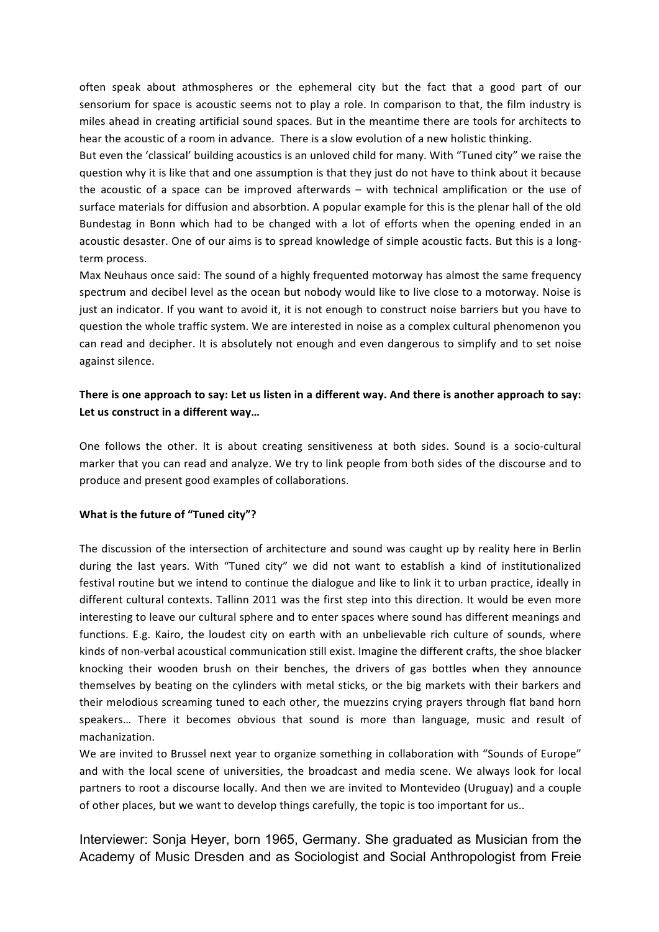often speak about athmospheres or the ephemeral city but the fact that a good part of our sensorium for space is acoustic seems not to play a role. In comparison to that, the film industry is miles ahead in creating artificial sound spaces. But in the meantime there are tools for architects to hear the acoustic of a room in advance. There is a slow evolution of a new holistic thinking.

But even the 'classical' building acoustics is an unloved child for many. With "Tuned city" we raise the question why it is like that and one assumption is that they just do not have to think about it because the acoustic of a space can be improved afterwards  $-$  with technical amplification or the use of surface materials for diffusion and absorbtion. A popular example for this is the plenar hall of the old Bundestag in Bonn which had to be changed with a lot of efforts when the opening ended in an acoustic desaster. One of our aims is to spread knowledge of simple acoustic facts. But this is a longterm process.

Max Neuhaus once said: The sound of a highly frequented motorway has almost the same frequency spectrum and decibel level as the ocean but nobody would like to live close to a motorway. Noise is just an indicator. If you want to avoid it, it is not enough to construct noise barriers but you have to question the whole traffic system. We are interested in noise as a complex cultural phenomenon you can read and decipher. It is absolutely not enough and even dangerous to simplify and to set noise against silence.

# There is one approach to say: Let us listen in a different way. And there is another approach to say: Let us construct in a different way...

One follows the other. It is about creating sensitiveness at both sides. Sound is a socio-cultural marker that you can read and analyze. We try to link people from both sides of the discourse and to produce and present good examples of collaborations.

## **What is the future of "Tuned city"?**

The discussion of the intersection of architecture and sound was caught up by reality here in Berlin during the last years. With "Tuned city" we did not want to establish a kind of institutionalized festival routine but we intend to continue the dialogue and like to link it to urban practice, ideally in different cultural contexts. Tallinn 2011 was the first step into this direction. It would be even more interesting to leave our cultural sphere and to enter spaces where sound has different meanings and functions. E.g. Kairo, the loudest city on earth with an unbelievable rich culture of sounds, where kinds of non-verbal acoustical communication still exist. Imagine the different crafts, the shoe blacker knocking their wooden brush on their benches, the drivers of gas bottles when they announce themselves by beating on the cylinders with metal sticks, or the big markets with their barkers and their melodious screaming tuned to each other, the muezzins crying prayers through flat band horn speakers... There it becomes obvious that sound is more than language, music and result of machanization.

We are invited to Brussel next year to organize something in collaboration with "Sounds of Europe" and with the local scene of universities, the broadcast and media scene. We always look for local partners to root a discourse locally. And then we are invited to Montevideo (Uruguay) and a couple of other places, but we want to develop things carefully, the topic is too important for us..

Interviewer: Sonja Heyer, born 1965, Germany. She graduated as Musician from the Academy of Music Dresden and as Sociologist and Social Anthropologist from Freie